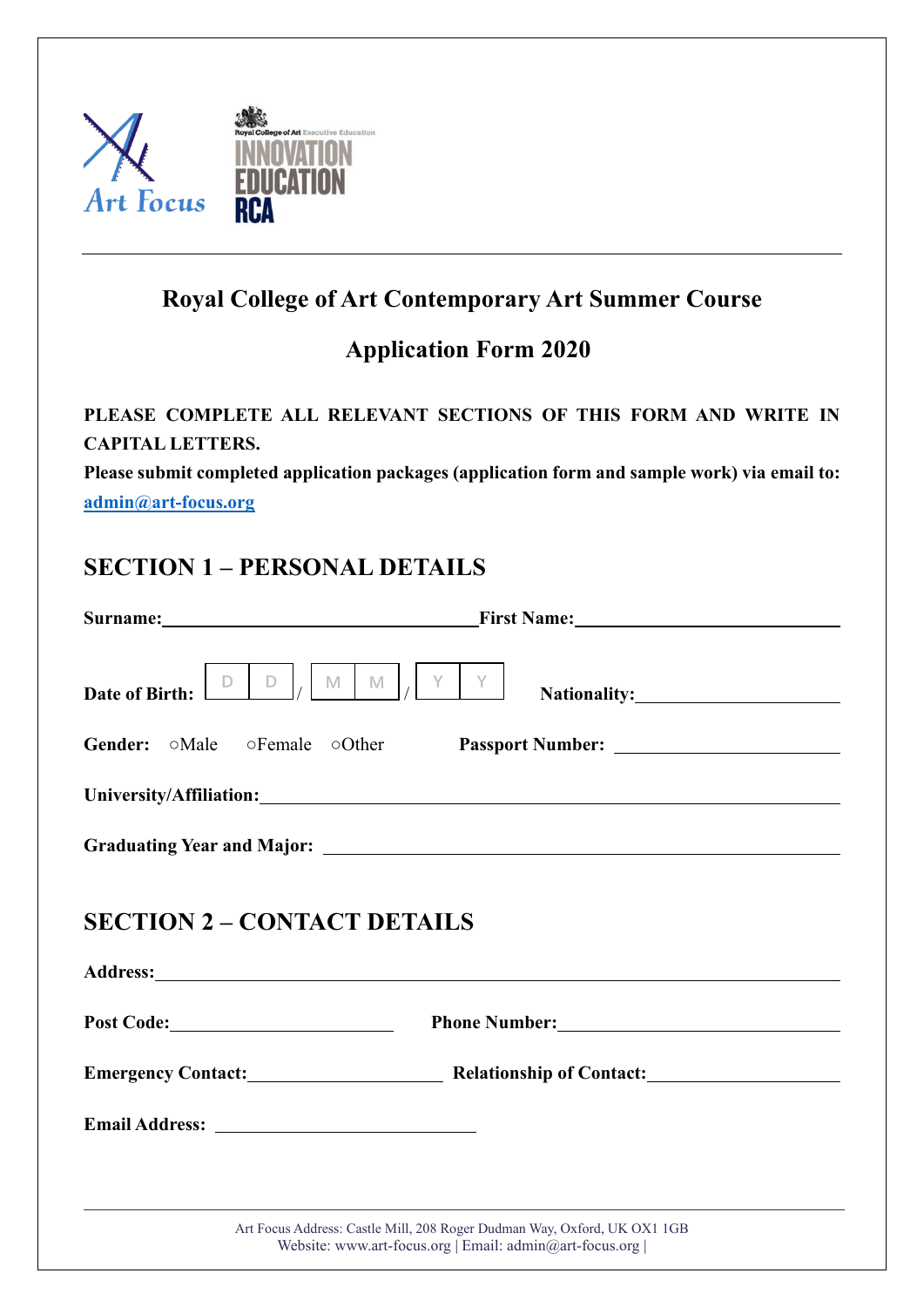

# **Royal College of Art Contemporary Art Summer Course**

## **Application Form 2020**

### **PLEASE COMPLETE ALL RELEVANT SECTIONS OF THIS FORM AND WRITE IN CAPITAL LETTERS.**

**Please submit completed application packages (application form and sample work) via email to: [admin@art-focus.org](mailto:admin@art-focus.org)**

## **SECTION 1 – PERSONAL DETAILS**

|                                                          | Surname: <u>New York: Name: Name:</u> Name: Name: Name: Name: Name: Name: Name: Name: Name: Name: Name: Name: Name: Name: Name: Name: Name: Name: Name: Name: Name: Name: Name: Name: Name: Name: Name: Name: Name: Name: Name: Nam |
|----------------------------------------------------------|-------------------------------------------------------------------------------------------------------------------------------------------------------------------------------------------------------------------------------------|
| $D \mid_L$<br>D<br><b>Date of Birth:</b>                 | Y Y<br>$M \mid M \mid$<br>Nationality: Nationality:                                                                                                                                                                                 |
| <b>Gender:</b> $\circ$ Male $\circ$ Female $\circ$ Other |                                                                                                                                                                                                                                     |
|                                                          |                                                                                                                                                                                                                                     |
|                                                          |                                                                                                                                                                                                                                     |
| <b>SECTION 2 – CONTACT DETAILS</b><br>Post Code:         | Phone Number: 1988 Manual Phone Number:                                                                                                                                                                                             |
|                                                          | Emergency Contact: Relationship of Contact:                                                                                                                                                                                         |
|                                                          |                                                                                                                                                                                                                                     |
|                                                          |                                                                                                                                                                                                                                     |
|                                                          | Art Focus Address: Castle Mill, 208 Roger Dudman Way, Oxford, UK OX1 1GB<br>Website: www.art-focus.org   Email: admin@art-focus.org                                                                                                 |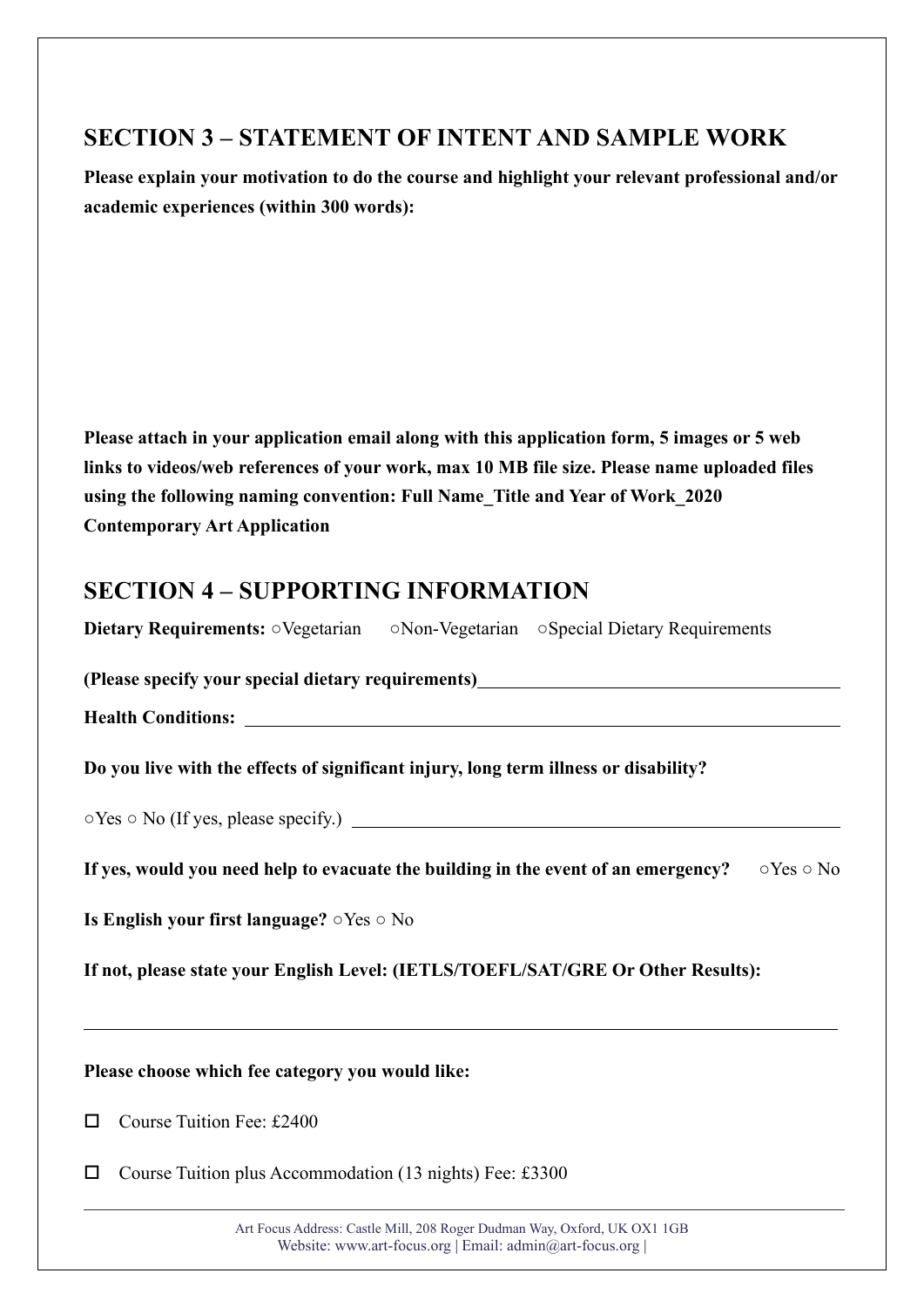## **SECTION 3 – STATEMENT OF INTENT AND SAMPLE WORK**

**Please explain your motivation to do the course and highlight your relevant professional and/or academic experiences (within 300 words):** 

**Please attach in your application email along with this application form, 5 images or 5 web links to videos/web references of your work, max 10 MB file size. Please name uploaded files using the following naming convention: Full Name\_Title and Year of Work\_2020 Contemporary Art Application**

### **SECTION 4 – SUPPORTING INFORMATION**

**Dietary Requirements:** ○Vegetarian ○Non-Vegetarian ○Special Dietary Requirements

**(Please specify your special dietary requirements)**

**Health Conditions:** 

**Do you live with the effects of significant injury, long term illness or disability?** 

○Yes ○ No (If yes, please specify.)

**If yes, would you need help to evacuate the building in the event of an emergency?** ○Yes ○ No

**Is English your first language?** ○Yes ○ No

**If not, please state your English Level: (IETLS/TOEFL/SAT/GRE Or Other Results):** 

**Please choose which fee category you would like:**

Course Tuition Fee: £2400

 $\overline{a}$ 

 $\Box$  Course Tuition plus Accommodation (13 nights) Fee: £3300

Art Focus Address: Castle Mill, 208 Roger Dudman Way, Oxford, UK OX1 1GB Website: www.art-focus.org | Email: admin@art-focus.org |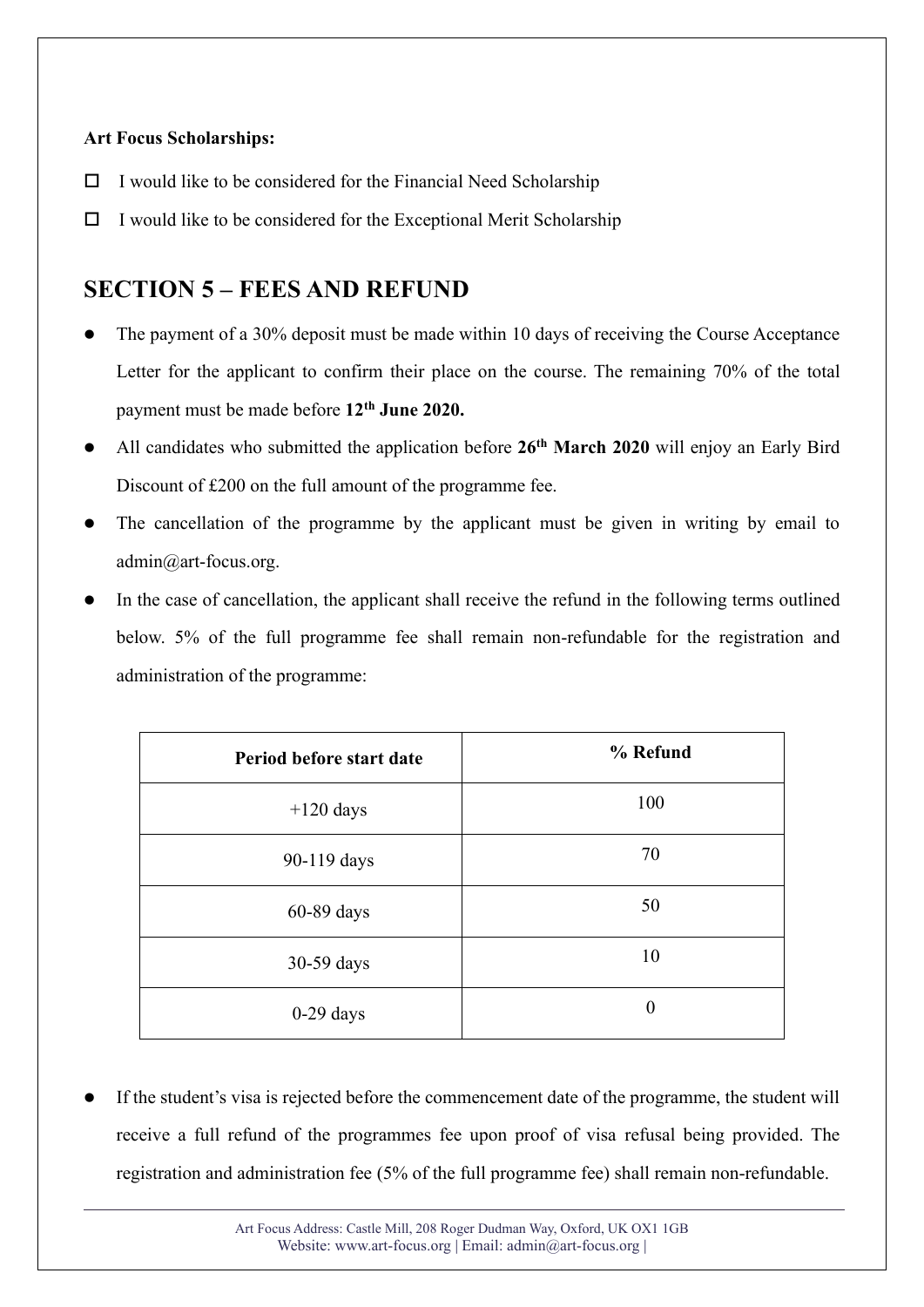#### **Art Focus Scholarships:**

- $\Box$  I would like to be considered for the Financial Need Scholarship
- $\Box$  I would like to be considered for the Exceptional Merit Scholarship

### **SECTION 5 – FEES AND REFUND**

- ⚫ The payment of a 30% deposit must be made within 10 days of receiving the Course Acceptance Letter for the applicant to confirm their place on the course. The remaining 70% of the total payment must be made before **12th June 2020.**
- ⚫ All candidates who submitted the application before **26th March 2020** will enjoy an Early Bird Discount of £200 on the full amount of the programme fee.
- The cancellation of the programme by the applicant must be given in writing by email to admin@art-focus.org.
- ⚫ In the case of cancellation, the applicant shall receive the refund in the following terms outlined below. 5% of the full programme fee shall remain non-refundable for the registration and administration of the programme:

| Period before start date | % Refund       |
|--------------------------|----------------|
| $+120$ days              | 100            |
| 90-119 days              | 70             |
| 60-89 days               | 50             |
| 30-59 days               | 10             |
| $0-29$ days              | $\overline{0}$ |

⚫ If the student's visa is rejected before the commencement date of the programme, the student will receive a full refund of the programmes fee upon proof of visa refusal being provided. The registration and administration fee (5% of the full programme fee) shall remain non-refundable.